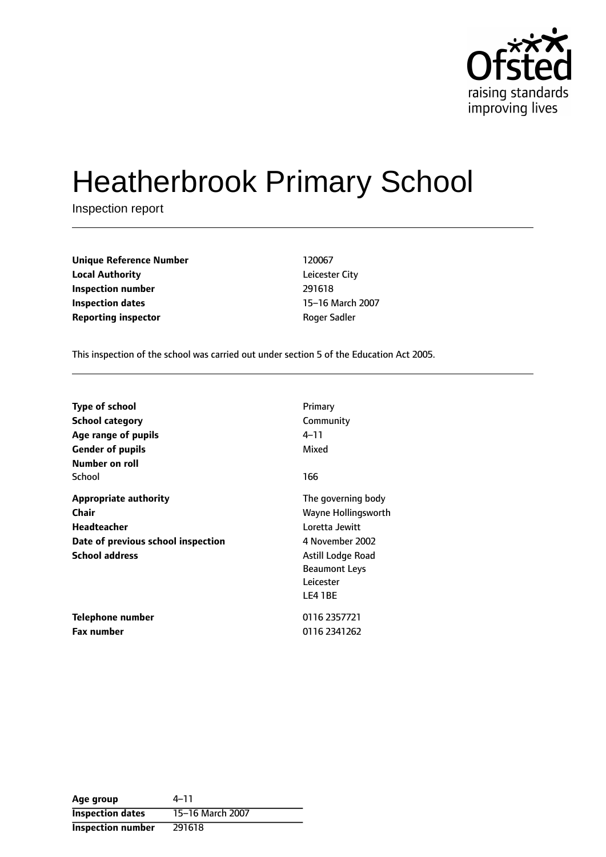

# Heatherbrook Primary School

Inspection report

| <b>Unique Reference Number</b> | 120067         |
|--------------------------------|----------------|
| <b>Local Authority</b>         | Leicester City |
| <b>Inspection number</b>       | 291618         |
| Inspection dates               | 15–16 March    |
| <b>Reporting inspector</b>     | Roger Sadler   |

**Unique Reference Number** 120067 **Leicester City Inspection number** 291618 **15-16 March 2007** 

This inspection of the school was carried out under section 5 of the Education Act 2005.

| <b>Type of school</b>                                                                                                      | Primary                                                                                                                                             |
|----------------------------------------------------------------------------------------------------------------------------|-----------------------------------------------------------------------------------------------------------------------------------------------------|
| <b>School category</b>                                                                                                     | Community                                                                                                                                           |
| Age range of pupils                                                                                                        | $4 - 11$                                                                                                                                            |
| <b>Gender of pupils</b>                                                                                                    | Mixed                                                                                                                                               |
| Number on roll<br>School                                                                                                   | 166                                                                                                                                                 |
| <b>Appropriate authority</b><br>Chair<br><b>Headteacher</b><br>Date of previous school inspection<br><b>School address</b> | The governing body<br>Wayne Hollingsworth<br>Loretta Jewitt<br>4 November 2002<br>Astill Lodge Road<br><b>Beaumont Leys</b><br>Leicester<br>LE4 1BE |
| Telephone number                                                                                                           | 0116 2357721                                                                                                                                        |
| <b>Fax number</b>                                                                                                          | 0116 2341262                                                                                                                                        |

| Age group                | 4–11             |
|--------------------------|------------------|
| <b>Inspection dates</b>  | 15-16 March 2007 |
| <b>Inspection number</b> | 291618           |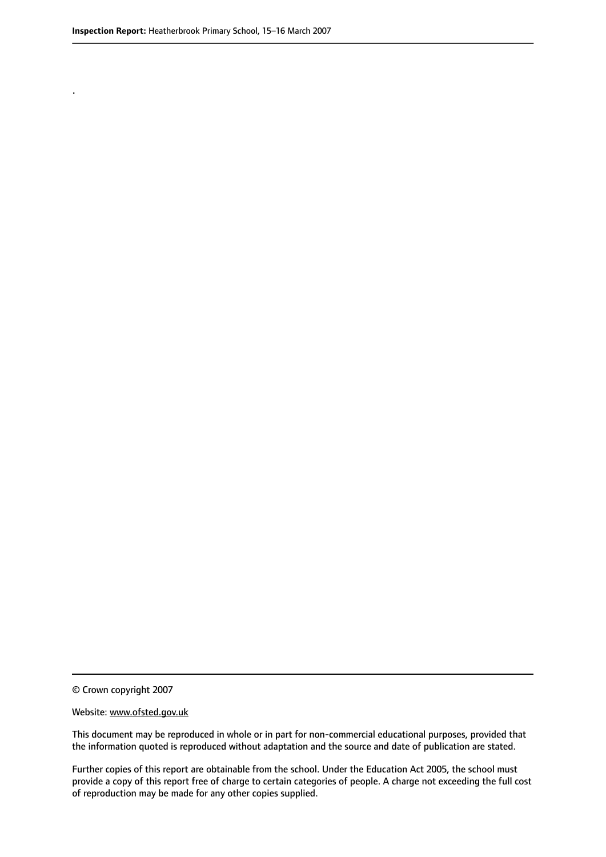.

© Crown copyright 2007

#### Website: www.ofsted.gov.uk

This document may be reproduced in whole or in part for non-commercial educational purposes, provided that the information quoted is reproduced without adaptation and the source and date of publication are stated.

Further copies of this report are obtainable from the school. Under the Education Act 2005, the school must provide a copy of this report free of charge to certain categories of people. A charge not exceeding the full cost of reproduction may be made for any other copies supplied.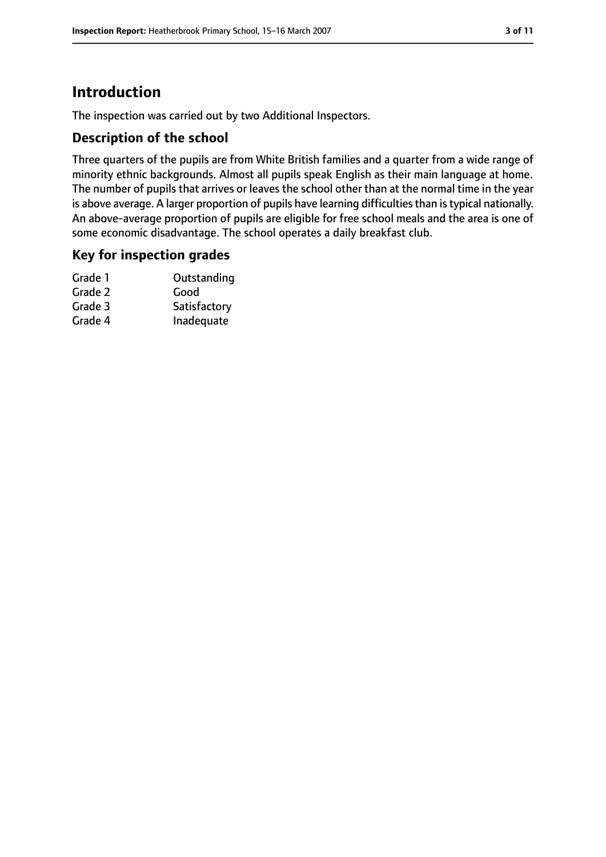# **Introduction**

The inspection was carried out by two Additional Inspectors.

#### **Description of the school**

Three quarters of the pupils are from White British families and a quarter from a wide range of minority ethnic backgrounds. Almost all pupils speak English as their main language at home. The number of pupils that arrives or leaves the school other than at the normal time in the year is above average. A larger proportion of pupils have learning difficulties than is typical nationally. An above-average proportion of pupils are eligible for free school meals and the area is one of some economic disadvantage. The school operates a daily breakfast club.

#### **Key for inspection grades**

| Grade 1 | Outstanding  |
|---------|--------------|
| Grade 2 | Good         |
| Grade 3 | Satisfactory |
| Grade 4 | Inadequate   |
|         |              |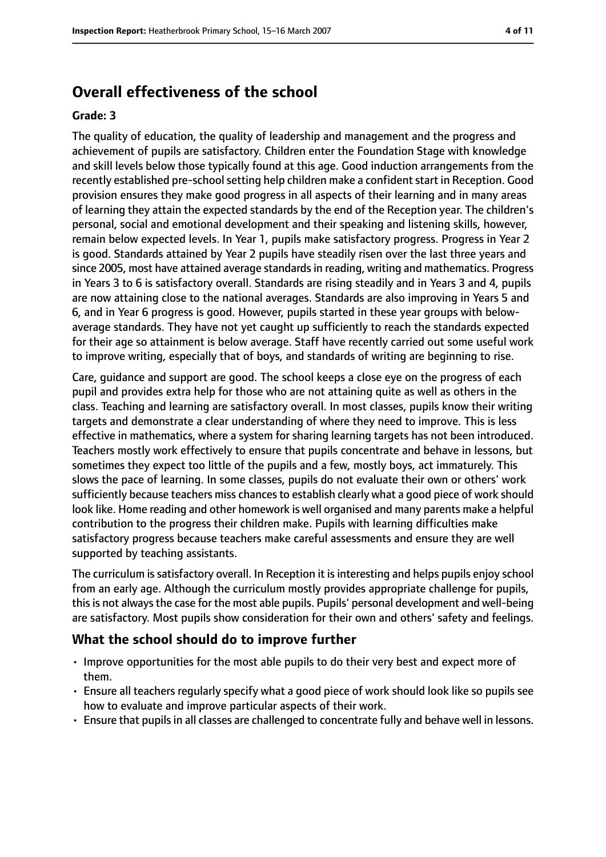## **Overall effectiveness of the school**

#### **Grade: 3**

The quality of education, the quality of leadership and management and the progress and achievement of pupils are satisfactory. Children enter the Foundation Stage with knowledge and skill levels below those typically found at this age. Good induction arrangements from the recently established pre-school setting help children make a confident start in Reception. Good provision ensures they make good progress in all aspects of their learning and in many areas of learning they attain the expected standards by the end of the Reception year. The children's personal, social and emotional development and their speaking and listening skills, however, remain below expected levels. In Year 1, pupils make satisfactory progress. Progress in Year 2 is good. Standards attained by Year 2 pupils have steadily risen over the last three years and since 2005, most have attained average standardsin reading, writing and mathematics. Progress in Years 3 to 6 is satisfactory overall. Standards are rising steadily and in Years 3 and 4, pupils are now attaining close to the national averages. Standards are also improving in Years 5 and 6, and in Year 6 progress is good. However, pupils started in these year groups with belowaverage standards. They have not yet caught up sufficiently to reach the standards expected for their age so attainment is below average. Staff have recently carried out some useful work to improve writing, especially that of boys, and standards of writing are beginning to rise.

Care, guidance and support are good. The school keeps a close eye on the progress of each pupil and provides extra help for those who are not attaining quite as well as others in the class. Teaching and learning are satisfactory overall. In most classes, pupils know their writing targets and demonstrate a clear understanding of where they need to improve. This is less effective in mathematics, where a system for sharing learning targets has not been introduced. Teachers mostly work effectively to ensure that pupils concentrate and behave in lessons, but sometimes they expect too little of the pupils and a few, mostly boys, act immaturely. This slows the pace of learning. In some classes, pupils do not evaluate their own or others' work sufficiently because teachers miss chances to establish clearly what a good piece of work should look like. Home reading and other homework is well organised and many parents make a helpful contribution to the progress their children make. Pupils with learning difficulties make satisfactory progress because teachers make careful assessments and ensure they are well supported by teaching assistants.

The curriculum is satisfactory overall. In Reception it is interesting and helps pupils enjoy school from an early age. Although the curriculum mostly provides appropriate challenge for pupils, this is not always the case for the most able pupils. Pupils' personal development and well-being are satisfactory. Most pupils show consideration for their own and others' safety and feelings.

#### **What the school should do to improve further**

- Improve opportunities for the most able pupils to do their very best and expect more of them.
- Ensure all teachers regularly specify what a good piece of work should look like so pupils see how to evaluate and improve particular aspects of their work.
- Ensure that pupils in all classes are challenged to concentrate fully and behave well in lessons.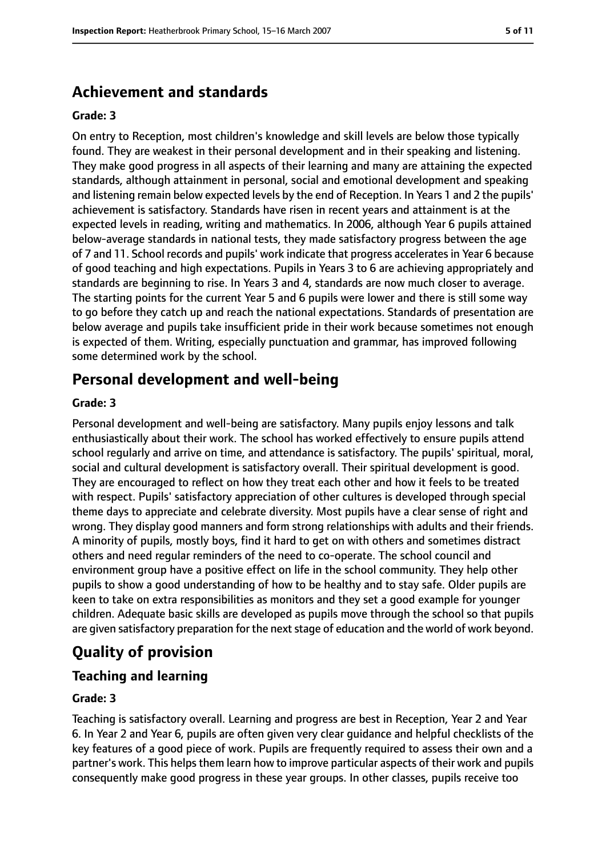## **Achievement and standards**

#### **Grade: 3**

On entry to Reception, most children's knowledge and skill levels are below those typically found. They are weakest in their personal development and in their speaking and listening. They make good progress in all aspects of their learning and many are attaining the expected standards, although attainment in personal, social and emotional development and speaking and listening remain below expected levels by the end of Reception. In Years 1 and 2 the pupils' achievement is satisfactory. Standards have risen in recent years and attainment is at the expected levels in reading, writing and mathematics. In 2006, although Year 6 pupils attained below-average standards in national tests, they made satisfactory progress between the age of 7 and 11. School records and pupils' work indicate that progress accelerates in Year 6 because of good teaching and high expectations. Pupils in Years 3 to 6 are achieving appropriately and standards are beginning to rise. In Years 3 and 4, standards are now much closer to average. The starting points for the current Year 5 and 6 pupils were lower and there is still some way to go before they catch up and reach the national expectations. Standards of presentation are below average and pupils take insufficient pride in their work because sometimes not enough is expected of them. Writing, especially punctuation and grammar, has improved following some determined work by the school.

## **Personal development and well-being**

#### **Grade: 3**

Personal development and well-being are satisfactory. Many pupils enjoy lessons and talk enthusiastically about their work. The school has worked effectively to ensure pupils attend school regularly and arrive on time, and attendance is satisfactory. The pupils' spiritual, moral, social and cultural development is satisfactory overall. Their spiritual development is good. They are encouraged to reflect on how they treat each other and how it feels to be treated with respect. Pupils' satisfactory appreciation of other cultures is developed through special theme days to appreciate and celebrate diversity. Most pupils have a clear sense of right and wrong. They display good manners and form strong relationships with adults and their friends. A minority of pupils, mostly boys, find it hard to get on with others and sometimes distract others and need regular reminders of the need to co-operate. The school council and environment group have a positive effect on life in the school community. They help other pupils to show a good understanding of how to be healthy and to stay safe. Older pupils are keen to take on extra responsibilities as monitors and they set a good example for younger children. Adequate basic skills are developed as pupils move through the school so that pupils are given satisfactory preparation for the next stage of education and the world of work beyond.

# **Quality of provision**

## **Teaching and learning**

#### **Grade: 3**

Teaching is satisfactory overall. Learning and progress are best in Reception, Year 2 and Year 6. In Year 2 and Year 6, pupils are often given very clear guidance and helpful checklists of the key features of a good piece of work. Pupils are frequently required to assess their own and a partner's work. This helps them learn how to improve particular aspects of their work and pupils consequently make good progress in these year groups. In other classes, pupils receive too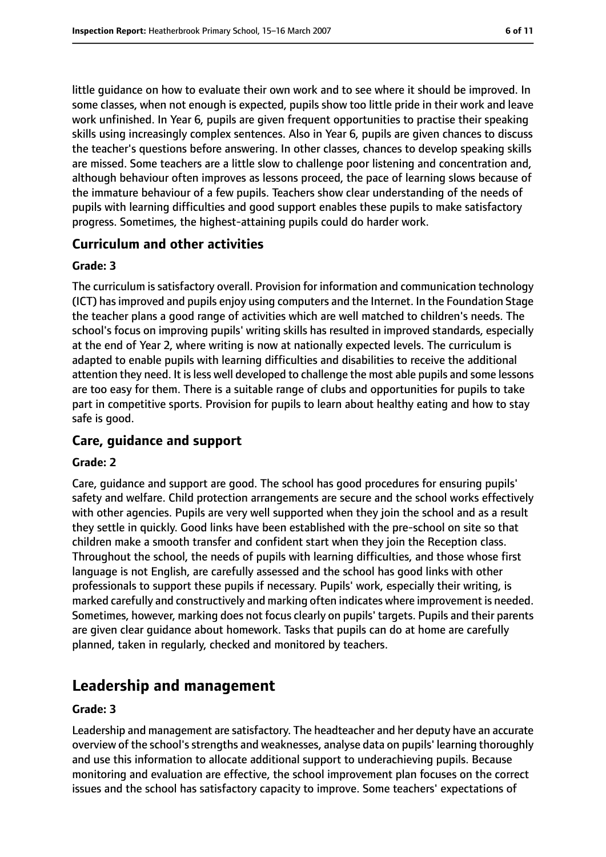little guidance on how to evaluate their own work and to see where it should be improved. In some classes, when not enough is expected, pupils show too little pride in their work and leave work unfinished. In Year 6, pupils are given frequent opportunities to practise their speaking skills using increasingly complex sentences. Also in Year 6, pupils are given chances to discuss the teacher's questions before answering. In other classes, chances to develop speaking skills are missed. Some teachers are a little slow to challenge poor listening and concentration and, although behaviour often improves as lessons proceed, the pace of learning slows because of the immature behaviour of a few pupils. Teachers show clear understanding of the needs of pupils with learning difficulties and good support enables these pupils to make satisfactory progress. Sometimes, the highest-attaining pupils could do harder work.

#### **Curriculum and other activities**

#### **Grade: 3**

The curriculum is satisfactory overall. Provision for information and communication technology (ICT) hasimproved and pupils enjoy using computers and the Internet. In the Foundation Stage the teacher plans a good range of activities which are well matched to children's needs. The school's focus on improving pupils' writing skills has resulted in improved standards, especially at the end of Year 2, where writing is now at nationally expected levels. The curriculum is adapted to enable pupils with learning difficulties and disabilities to receive the additional attention they need. It is less well developed to challenge the most able pupils and some lessons are too easy for them. There is a suitable range of clubs and opportunities for pupils to take part in competitive sports. Provision for pupils to learn about healthy eating and how to stay safe is good.

#### **Care, guidance and support**

#### **Grade: 2**

Care, guidance and support are good. The school has good procedures for ensuring pupils' safety and welfare. Child protection arrangements are secure and the school works effectively with other agencies. Pupils are very well supported when they join the school and as a result they settle in quickly. Good links have been established with the pre-school on site so that children make a smooth transfer and confident start when they join the Reception class. Throughout the school, the needs of pupils with learning difficulties, and those whose first language is not English, are carefully assessed and the school has good links with other professionals to support these pupils if necessary. Pupils' work, especially their writing, is marked carefully and constructively and marking often indicates where improvement is needed. Sometimes, however, marking does not focus clearly on pupils' targets. Pupils and their parents are given clear guidance about homework. Tasks that pupils can do at home are carefully planned, taken in regularly, checked and monitored by teachers.

## **Leadership and management**

#### **Grade: 3**

Leadership and management are satisfactory. The headteacher and her deputy have an accurate overview of the school's strengths and weaknesses, analyse data on pupils' learning thoroughly and use this information to allocate additional support to underachieving pupils. Because monitoring and evaluation are effective, the school improvement plan focuses on the correct issues and the school has satisfactory capacity to improve. Some teachers' expectations of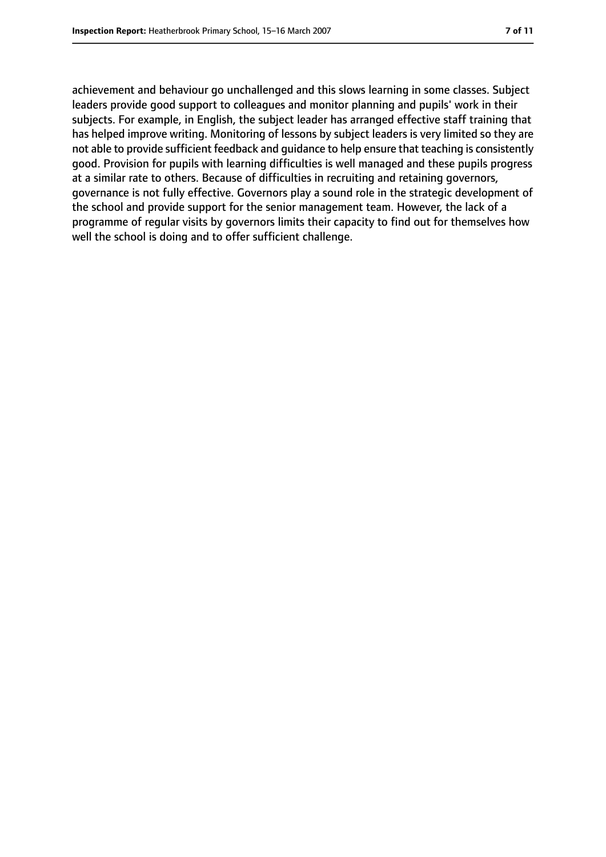achievement and behaviour go unchallenged and this slows learning in some classes. Subject leaders provide good support to colleagues and monitor planning and pupils' work in their subjects. For example, in English, the subject leader has arranged effective staff training that has helped improve writing. Monitoring of lessons by subject leaders is very limited so they are not able to provide sufficient feedback and guidance to help ensure that teaching is consistently good. Provision for pupils with learning difficulties is well managed and these pupils progress at a similar rate to others. Because of difficulties in recruiting and retaining governors, governance is not fully effective. Governors play a sound role in the strategic development of the school and provide support for the senior management team. However, the lack of a programme of regular visits by governors limits their capacity to find out for themselves how well the school is doing and to offer sufficient challenge.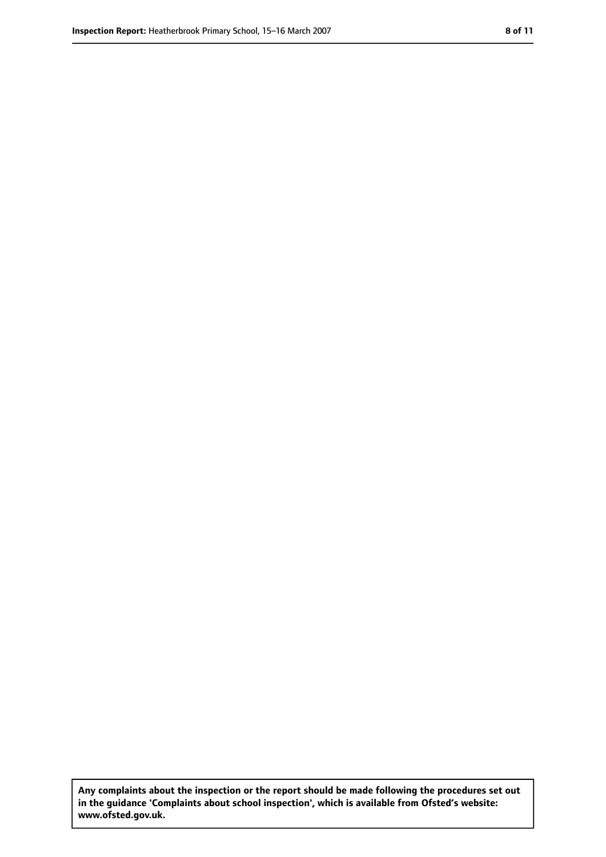**Any complaints about the inspection or the report should be made following the procedures set out in the guidance 'Complaints about school inspection', which is available from Ofsted's website: www.ofsted.gov.uk.**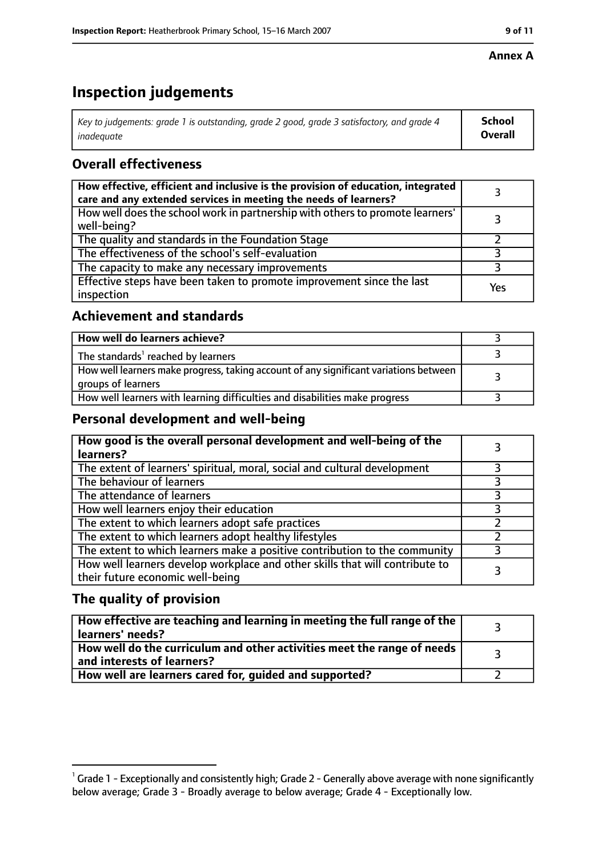#### **Annex A**

# **Inspection judgements**

| Key to judgements: grade 1 is outstanding, grade 2 good, grade 3 satisfactory, and grade 4 $\,$ | <b>School</b>  |
|-------------------------------------------------------------------------------------------------|----------------|
| inadequate                                                                                      | <b>Overall</b> |

## **Overall effectiveness**

| How effective, efficient and inclusive is the provision of education, integrated<br>care and any extended services in meeting the needs of learners? |     |
|------------------------------------------------------------------------------------------------------------------------------------------------------|-----|
| How well does the school work in partnership with others to promote learners'<br>well-being?                                                         |     |
| The quality and standards in the Foundation Stage                                                                                                    |     |
| The effectiveness of the school's self-evaluation                                                                                                    |     |
| The capacity to make any necessary improvements                                                                                                      |     |
| Effective steps have been taken to promote improvement since the last<br>inspection                                                                  | Yes |

## **Achievement and standards**

| How well do learners achieve?                                                                               |  |
|-------------------------------------------------------------------------------------------------------------|--|
| The standards <sup>1</sup> reached by learners                                                              |  |
| How well learners make progress, taking account of any significant variations between<br>groups of learners |  |
| How well learners with learning difficulties and disabilities make progress                                 |  |

#### **Personal development and well-being**

| How good is the overall personal development and well-being of the<br>learners?                                  |  |
|------------------------------------------------------------------------------------------------------------------|--|
| The extent of learners' spiritual, moral, social and cultural development                                        |  |
| The behaviour of learners                                                                                        |  |
| The attendance of learners                                                                                       |  |
| How well learners enjoy their education                                                                          |  |
| The extent to which learners adopt safe practices                                                                |  |
| The extent to which learners adopt healthy lifestyles                                                            |  |
| The extent to which learners make a positive contribution to the community                                       |  |
| How well learners develop workplace and other skills that will contribute to<br>their future economic well-being |  |

## **The quality of provision**

| How effective are teaching and learning in meeting the full range of the<br>learners' needs?          |  |
|-------------------------------------------------------------------------------------------------------|--|
| How well do the curriculum and other activities meet the range of needs<br>and interests of learners? |  |
| How well are learners cared for, guided and supported?                                                |  |

 $^1$  Grade 1 - Exceptionally and consistently high; Grade 2 - Generally above average with none significantly below average; Grade 3 - Broadly average to below average; Grade 4 - Exceptionally low.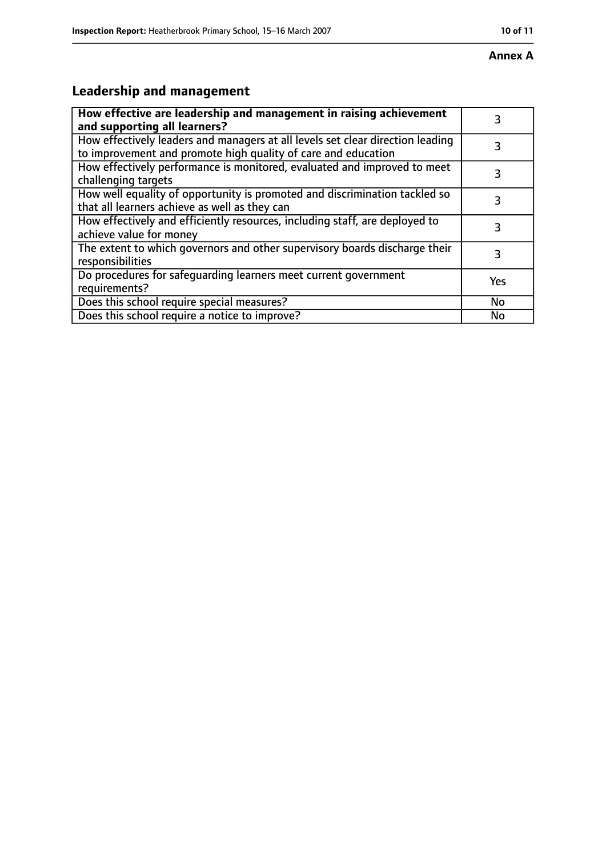# **Leadership and management**

| How effective are leadership and management in raising achievement<br>and supporting all learners?                                              | 3         |
|-------------------------------------------------------------------------------------------------------------------------------------------------|-----------|
| How effectively leaders and managers at all levels set clear direction leading<br>to improvement and promote high quality of care and education |           |
| How effectively performance is monitored, evaluated and improved to meet<br>challenging targets                                                 | 3         |
| How well equality of opportunity is promoted and discrimination tackled so<br>that all learners achieve as well as they can                     |           |
| How effectively and efficiently resources, including staff, are deployed to<br>achieve value for money                                          | 3         |
| The extent to which governors and other supervisory boards discharge their<br>responsibilities                                                  | 3         |
| Do procedures for safequarding learners meet current government<br>requirements?                                                                | Yes       |
| Does this school require special measures?                                                                                                      | <b>No</b> |
| Does this school require a notice to improve?                                                                                                   | No        |